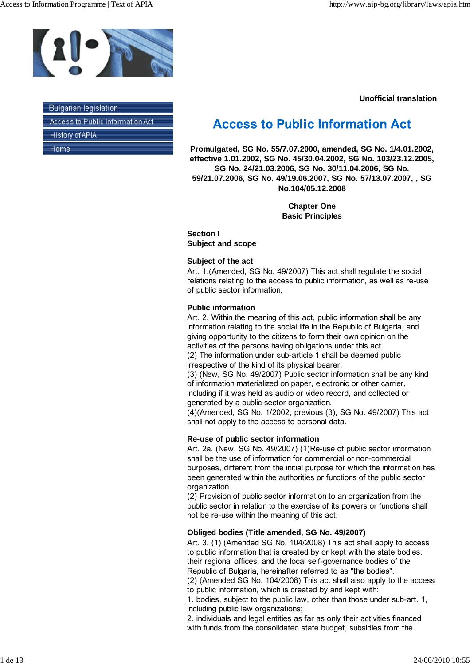

| - Bulgarian legislation            |
|------------------------------------|
| - Access to Public Information Act |
| - History of APIA                  |
| – Home                             |

**Unofficial translation**

# **Access to Public Information Act**

**Promulgated, SG No. 55/7.07.2000, amended, SG No. 1/4.01.2002, effective 1.01.2002, SG No. 45/30.04.2002, SG No. 103/23.12.2005, SG No. 24/21.03.2006, SG No. 30/11.04.2006, SG No. 59/21.07.2006, SG No. 49/19.06.2007, SG No. 57/13.07.2007, , SG No.104/05.12.2008**

> **Chapter One Basic Principles**

**Section I Subject and scope**

## **Subject of the act**

Art. 1.(Amended, SG No. 49/2007) This act shall regulate the social relations relating to the access to public information, as well as re-use of public sector information.

## **Public information**

Art. 2. Within the meaning of this act, public information shall be any information relating to the social life in the Republic of Bulgaria, and giving opportunity to the citizens to form their own opinion on the activities of the persons having obligations under this act.

(2) The information under sub-article 1 shall be deemed public irrespective of the kind of its physical bearer.

(3) (New, SG No. 49/2007) Public sector information shall be any kind of information materialized on paper, electronic or other carrier, including if it was held as audio or video record, and collected or generated by a public sector organization.

(4)(Amended, SG No. 1/2002, previous (3), SG No. 49/2007) This act shall not apply to the access to personal data.

## **Re-use of public sector information**

Art. 2a. (New, SG No. 49/2007) (1)Re-use of public sector information shall be the use of information for commercial or non-commercial purposes, different from the initial purpose for which the information has been generated within the authorities or functions of the public sector organization.

(2) Provision of public sector information to an organization from the public sector in relation to the exercise of its powers or functions shall not be re-use within the meaning of this act.

## **Obliged bodies (Title amended, SG No. 49/2007)**

Art. 3. (1) (Amended SG No. 104/2008) This act shall apply to access to public information that is created by or kept with the state bodies, their regional offices, and the local self-governance bodies of the Republic of Bulgaria, hereinafter referred to as "the bodies".

(2) (Amended SG No. 104/2008) This act shall also apply to the access to public information, which is created by and kept with:

1. bodies, subject to the public law, other than those under sub-art. 1, including public law organizations;

2. individuals and legal entities as far as only their activities financed with funds from the consolidated state budget, subsidies from the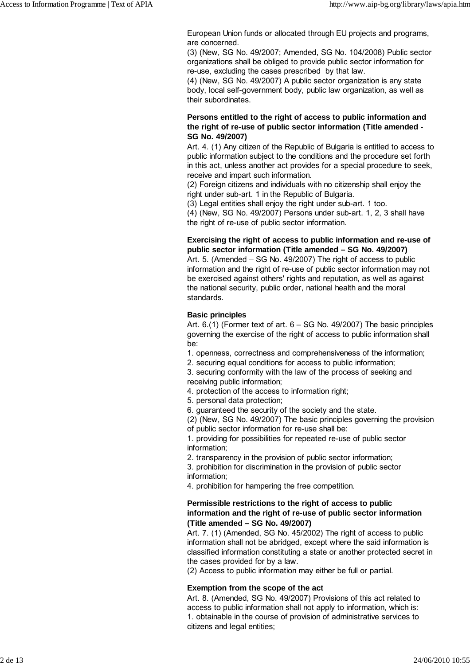European Union funds or allocated through EU projects and programs, are concerned.

(3) (New, SG No. 49/2007; Amended, SG No. 104/2008) Public sector organizations shall be obliged to provide public sector information for re-use, excluding the cases prescribed by that law.

(4) (New, SG No. 49/2007) A public sector organization is any state body, local self-government body, public law organization, as well as their subordinates.

## **Persons entitled to the right of access to public information and the right of re-use of public sector information (Title amended - SG No. 49/2007)**

Art. 4. (1) Any citizen of the Republic of Bulgaria is entitled to access to public information subject to the conditions and the procedure set forth in this act, unless another act provides for a special procedure to seek, receive and impart such information.

(2) Foreign citizens and individuals with no citizenship shall enjoy the right under sub-art. 1 in the Republic of Bulgaria.

(3) Legal entities shall enjoy the right under sub-art. 1 too.

(4) (New, SG No. 49/2007) Persons under sub-art. 1, 2, 3 shall have the right of re-use of public sector information.

## **Exercising the right of access to public information and re-use of public sector information (Title amended – SG No. 49/2007)**

Art. 5. (Amended – SG No. 49/2007) The right of access to public information and the right of re-use of public sector information may not be exercised against others' rights and reputation, as well as against the national security, public order, national health and the moral standards.

## **Basic principles**

Art. 6.(1) (Former text of art. 6 – SG No. 49/2007) The basic principles governing the exercise of the right of access to public information shall be:

1. openness, correctness and comprehensiveness of the information;

2. securing equal conditions for access to public information;

3. securing conformity with the law of the process of seeking and receiving public information;

4. protection of the access to information right;

5. personal data protection;

6. guaranteed the security of the society and the state.

(2) (New, SG No. 49/2007) The basic principles governing the provision of public sector information for re-use shall be:

1. providing for possibilities for repeated re-use of public sector information;

2. transparency in the provision of public sector information;

3. prohibition for discrimination in the provision of public sector information;

4. prohibition for hampering the free competition.

## **Permissible restrictions to the right of access to public information and the right of re-use of public sector information (Title amended – SG No. 49/2007)**

Art. 7. (1) (Amended, SG No. 45/2002) The right of access to public information shall not be abridged, except where the said information is classified information constituting a state or another protected secret in the cases provided for by a law.

(2) Access to public information may either be full or partial.

## **Exemption from the scope of the act**

Art. 8. (Amended, SG No. 49/2007) Provisions of this act related to access to public information shall not apply to information, which is: 1. obtainable in the course of provision of administrative services to citizens and legal entities;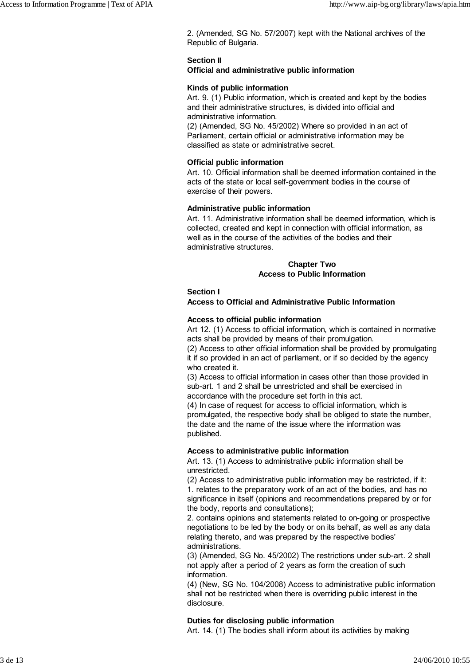2. (Amended, SG No. 57/2007) kept with the National archives of the Republic of Bulgaria.

## **Section II**

## **Official and administrative public information**

## **Kinds of public information**

Art. 9. (1) Public information, which is created and kept by the bodies and their administrative structures, is divided into official and administrative information.

(2) (Amended, SG No. 45/2002) Where so provided in an act of Parliament, certain official or administrative information may be classified as state or administrative secret.

## **Official public information**

Art. 10. Official information shall be deemed information contained in the acts of the state or local self-government bodies in the course of exercise of their powers.

#### **Administrative public information**

Art. 11. Administrative information shall be deemed information, which is collected, created and kept in connection with official information, as well as in the course of the activities of the bodies and their administrative structures.

## **Chapter Two Access to Public Information**

## **Section I**

## **Access to Official and Administrative Public Information**

## **Access to official public information**

Art 12. (1) Access to official information, which is contained in normative acts shall be provided by means of their promulgation.

(2) Access to other official information shall be provided by promulgating it if so provided in an act of parliament, or if so decided by the agency who created it.

(3) Access to official information in cases other than those provided in sub-art. 1 and 2 shall be unrestricted and shall be exercised in accordance with the procedure set forth in this act.

(4) In case of request for access to official information, which is promulgated, the respective body shall be obliged to state the number, the date and the name of the issue where the information was published.

## **Access to administrative public information**

Art. 13. (1) Access to administrative public information shall be unrestricted.

(2) Access to administrative public information may be restricted, if it: 1. relates to the preparatory work of an act of the bodies, and has no significance in itself (opinions and recommendations prepared by or for the body, reports and consultations);

2. contains opinions and statements related to on-going or prospective negotiations to be led by the body or on its behalf, as well as any data relating thereto, and was prepared by the respective bodies' administrations.

(3) (Amended, SG No. 45/2002) The restrictions under sub-art. 2 shall not apply after a period of 2 years as form the creation of such information.

(4) (New, SG No. 104/2008) Access to administrative public information shall not be restricted when there is overriding public interest in the disclosure.

## **Duties for disclosing public information**

Art. 14. (1) The bodies shall inform about its activities by making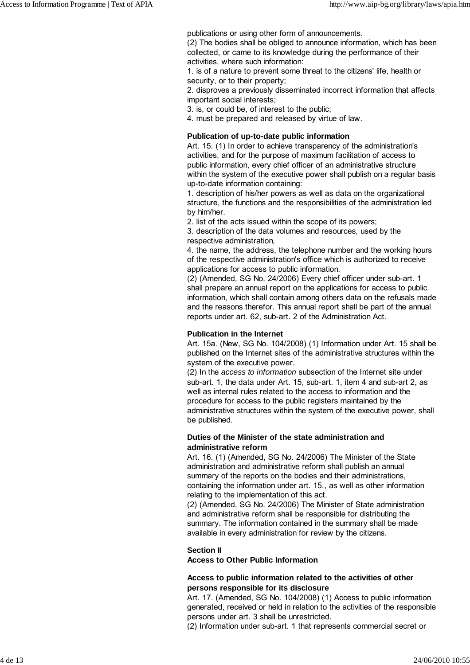publications or using other form of announcements.

(2) The bodies shall be obliged to announce information, which has been collected, or came to its knowledge during the performance of their activities, where such information:

1. is of a nature to prevent some threat to the citizens' life, health or security, or to their property;

2. disproves a previously disseminated incorrect information that affects important social interests;

3. is, or could be, of interest to the public;

4. must be prepared and released by virtue of law.

## **Publication of up-to-date public information**

Art. 15. (1) In order to achieve transparency of the administration's activities, and for the purpose of maximum facilitation of access to public information, every chief officer of an administrative structure within the system of the executive power shall publish on a regular basis up-to-date information containing:

1. description of his/her powers as well as data on the organizational structure, the functions and the responsibilities of the administration led by him/her.

2. list of the acts issued within the scope of its powers;

3. description of the data volumes and resources, used by the respective administration,

4. the name, the address, the telephone number and the working hours of the respective administration's office which is authorized to receive applications for access to public information.

(2) (Amended, SG No. 24/2006) Every chief officer under sub-art. 1 shall prepare an annual report on the applications for access to public information, which shall contain among others data on the refusals made and the reasons therefor. This annual report shall be part of the annual reports under art. 62, sub-art. 2 of the Administration Act.

#### **Publication in the Internet**

Art. 15а. (New, SG No. 104/2008) (1) Information under Art. 15 shall be published on the Internet sites of the administrative structures within the system of the executive power.

(2) In the *access to information* subsection of the Internet site under sub-art. 1, the data under Art. 15, sub-art. 1, item 4 and sub-art 2, as well as internal rules related to the access to information and the procedure for access to the public registers maintained by the administrative structures within the system of the executive power, shall be published.

## **Duties of the Minister of the state administration and administrative reform**

Art. 16. (1) (Amended, SG No. 24/2006) The Minister of the State administration and administrative reform shall publish an annual summary of the reports on the bodies and their administrations, containing the information under art. 15., as well as other information relating to the implementation of this act.

(2) (Amended, SG No. 24/2006) The Minister of State administration and administrative reform shall be responsible for distributing the summary. The information contained in the summary shall be made available in every administration for review by the citizens.

## **Section II**

**Access to Other Public Information**

#### **Access to public information related to the activities of other persons responsible for its disclosure**

Art. 17. (Amended, SG No. 104/2008) (1) Access to public information generated, received or held in relation to the activities of the responsible persons under art. 3 shall be unrestricted.

(2) Information under sub-art. 1 that represents commercial secret or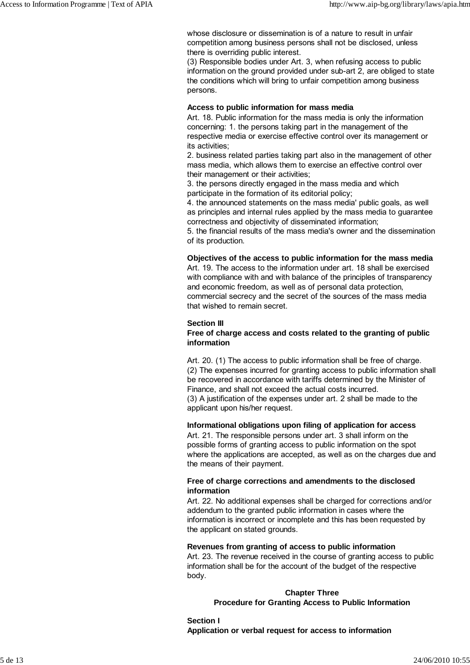whose disclosure or dissemination is of a nature to result in unfair competition among business persons shall not be disclosed, unless there is overriding public interest.

(3) Responsible bodies under Art. 3, when refusing access to public information on the ground provided under sub-art 2, are obliged to state the conditions which will bring to unfair competition among business persons.

#### **Access to public information for mass media**

Art. 18. Public information for the mass media is only the information concerning: 1. the persons taking part in the management of the respective media or exercise effective control over its management or its activities;

2. business related parties taking part also in the management of other mass media, which allows them to exercise an effective control over their management or their activities;

3. the persons directly engaged in the mass media and which participate in the formation of its editorial policy;

4. the announced statements on the mass media' public goals, as well as principles and internal rules applied by the mass media to guarantee correctness and objectivity of disseminated information;

5. the financial results of the mass media's owner and the dissemination of its production.

#### **Objectives of the access to public information for the mass media**

Art. 19. The access to the information under art. 18 shall be exercised with compliance with and with balance of the principles of transparency and economic freedom, as well as of personal data protection, commercial secrecy and the secret of the sources of the mass media that wished to remain secret.

## **Section III**

## **Free of charge access and costs related to the granting of public information**

Art. 20. (1) The access to public information shall be free of charge. (2) The expenses incurred for granting access to public information shall be recovered in accordance with tariffs determined by the Minister of Finance, and shall not exceed the actual costs incurred. (3) A justification of the expenses under art. 2 shall be made to the applicant upon his/her request.

#### **Informational obligations upon filing of application for access**

Art. 21. The responsible persons under art. 3 shall inform on the possible forms of granting access to public information on the spot where the applications are accepted, as well as on the charges due and the means of their payment.

## **Free of charge corrections and amendments to the disclosed information**

Art. 22. No additional expenses shall be charged for corrections and/or addendum to the granted public information in cases where the information is incorrect or incomplete and this has been requested by the applicant on stated grounds.

#### **Revenues from granting of access to public information**

Art. 23. The revenue received in the course of granting access to public information shall be for the account of the budget of the respective body.

## **Chapter Three Procedure for Granting Access to Public Information**

**Section I Application or verbal request for access to information**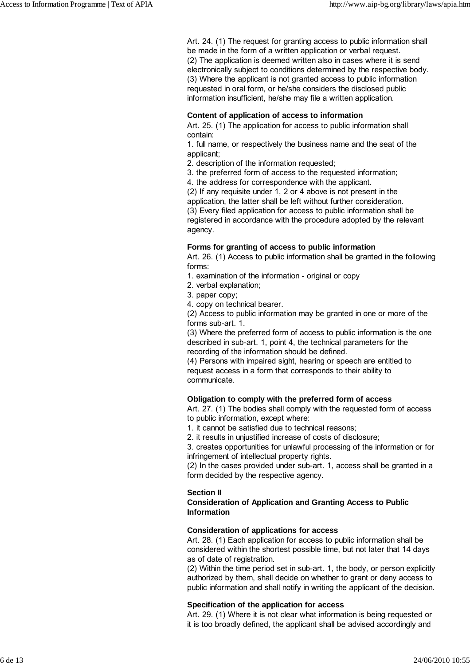Art. 24. (1) The request for granting access to public information shall be made in the form of a written application or verbal request. (2) The application is deemed written also in cases where it is send electronically subject to conditions determined by the respective body. (3) Where the applicant is not granted access to public information requested in oral form, or he/she considers the disclosed public information insufficient, he/she may file a written application.

#### **Content of application of access to information**

Art. 25. (1) The application for access to public information shall contain:

1. full name, or respectively the business name and the seat of the applicant;

2. description of the information requested;

3. the preferred form of access to the requested information;

4. the address for correspondence with the applicant.

(2) If any requisite under 1, 2 or 4 above is not present in the application, the latter shall be left without further consideration. (3) Every filed application for access to public information shall be registered in accordance with the procedure adopted by the relevant agency.

#### **Forms for granting of access to public information**

Art. 26. (1) Access to public information shall be granted in the following forms:

1. examination of the information - original or copy

- 2. verbal explanation;
- 3. paper copy;

4. copy on technical bearer.

(2) Access to public information may be granted in one or more of the forms sub-art. 1.

(3) Where the preferred form of access to public information is the one described in sub-art. 1, point 4, the technical parameters for the recording of the information should be defined.

(4) Persons with impaired sight, hearing or speech are entitled to request access in a form that corresponds to their ability to communicate.

#### **Obligation to comply with the preferred form of access**

Art. 27. (1) The bodies shall comply with the requested form of access to public information, except where:

1. it cannot be satisfied due to technical reasons;

2. it results in unjustified increase of costs of disclosure;

3. creates opportunities for unlawful processing of the information or for infringement of intellectual property rights.

(2) In the cases provided under sub-art. 1, access shall be granted in a form decided by the respective agency.

#### **Section II**

**Consideration of Application and Granting Access to Public Information**

#### **Consideration of applications for access**

Art. 28. (1) Each application for access to public information shall be considered within the shortest possible time, but not later that 14 days as of date of registration.

(2) Within the time period set in sub-art. 1, the body, or person explicitly authorized by them, shall decide on whether to grant or deny access to public information and shall notify in writing the applicant of the decision.

#### **Specification of the application for access**

Art. 29. (1) Where it is not clear what information is being requested or it is too broadly defined, the applicant shall be advised accordingly and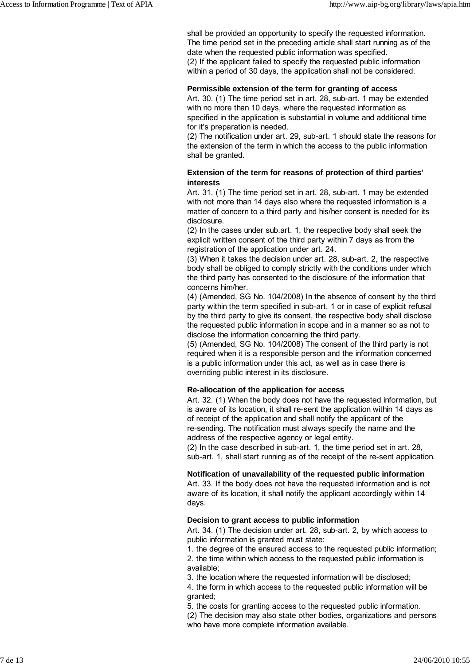shall be provided an opportunity to specify the requested information. The time period set in the preceding article shall start running as of the date when the requested public information was specified. (2) If the applicant failed to specify the requested public information within a period of 30 days, the application shall not be considered.

#### **Permissible extension of the term for granting of access**

Art. 30. (1) The time period set in art. 28, sub-art. 1 may be extended with no more than 10 days, where the requested information as specified in the application is substantial in volume and additional time for it's preparation is needed.

(2) The notification under art. 29, sub-art. 1 should state the reasons for the extension of the term in which the access to the public information shall be granted.

## **Extension of the term for reasons of protection of third parties' interests**

Art. 31. (1) The time period set in art. 28, sub-art. 1 may be extended with not more than 14 days also where the requested information is a matter of concern to a third party and his/her consent is needed for its disclosure.

(2) In the cases under sub.art. 1, the respective body shall seek the explicit written consent of the third party within 7 days as from the registration of the application under art. 24.

(3) When it takes the decision under art. 28, sub-art. 2, the respective body shall be obliged to comply strictly with the conditions under which the third party has consented to the disclosure of the information that concerns him/her.

(4) (Amended, SG No. 104/2008) In the absence of consent by the third party within the term specified in sub-art. 1 or in case of explicit refusal by the third party to give its consent, the respective body shall disclose the requested public information in scope and in a manner so as not to disclose the information concerning the third party.

(5) (Amended, SG No. 104/2008) The consent of the third party is not required when it is a responsible person and the information concerned is a public information under this act, as well as in case there is overriding public interest in its disclosure.

#### **Re-allocation of the application for access**

Art. 32. (1) When the body does not have the requested information, but is aware of its location, it shall re-sent the application within 14 days as of receipt of the application and shall notify the applicant of the re-sending. The notification must always specify the name and the address of the respective agency or legal entity.

(2) In the case described in sub-art. 1, the time period set in art. 28, sub-art. 1, shall start running as of the receipt of the re-sent application.

## **Notification of unavailability of the requested public information**

Art. 33. If the body does not have the requested information and is not aware of its location, it shall notify the applicant accordingly within 14 days.

#### **Decision to grant access to public information**

Art. 34. (1) The decision under art. 28, sub-art. 2, by which access to public information is granted must state:

1. the degree of the ensured access to the requested public information;

2. the time within which access to the requested public information is available;

3. the location where the requested information will be disclosed;

4. the form in which access to the requested public information will be granted;

5. the costs for granting access to the requested public information.

(2) The decision may also state other bodies, organizations and persons who have more complete information available.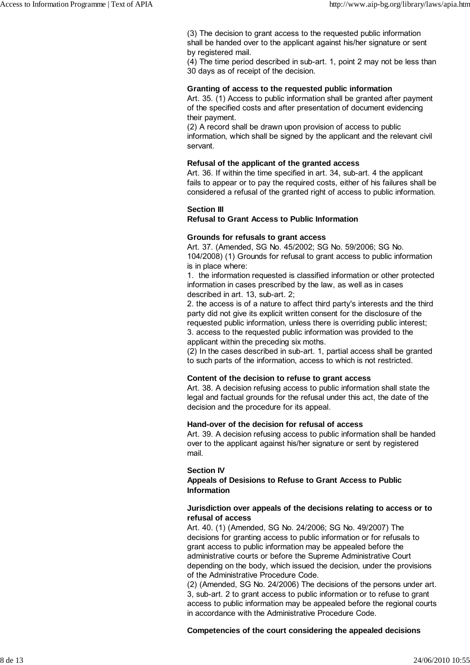(3) The decision to grant access to the requested public information shall be handed over to the applicant against his/her signature or sent by registered mail.

(4) The time period described in sub-art. 1, point 2 may not be less than 30 days as of receipt of the decision.

#### **Granting of access to the requested public information**

Art. 35. (1) Access to public information shall be granted after payment of the specified costs and after presentation of document evidencing their payment.

(2) A record shall be drawn upon provision of access to public information, which shall be signed by the applicant and the relevant civil servant.

#### **Refusal of the applicant of the granted access**

Art. 36. If within the time specified in art. 34, sub-art. 4 the applicant fails to appear or to pay the required costs, either of his failures shall be considered a refusal of the granted right of access to public information.

#### **Section III**

**Refusal to Grant Access to Public Information**

#### **Grounds for refusals to grant access**

Art. 37. (Amended, SG No. 45/2002; SG No. 59/2006; SG No. 104/2008) (1) Grounds for refusal to grant access to public information is in place where:

1. the information requested is classified information or other protected information in cases prescribed by the law, as well as in cases described in art. 13, sub-art. 2;

2. the access is of a nature to affect third party's interests and the third party did not give its explicit written consent for the disclosure of the requested public information, unless there is overriding public interest; 3. access to the requested public information was provided to the applicant within the preceding six moths.

(2) In the cases described in sub-art. 1, partial access shall be granted to such parts of the information, access to which is not restricted.

#### **Content of the decision to refuse to grant access**

Art. 38. A decision refusing access to public information shall state the legal and factual grounds for the refusal under this act, the date of the decision and the procedure for its appeal.

#### **Hand-over of the decision for refusal of access**

Art. 39. A decision refusing access to public information shall be handed over to the applicant against his/her signature or sent by registered mail.

#### **Section IV**

## **Appeals of Desisions to Refuse to Grant Access to Public Information**

#### **Jurisdiction over appeals of the decisions relating to access or to refusal of access**

Art. 40. (1) (Amended, SG No. 24/2006; SG No. 49/2007) The decisions for granting access to public information or for refusals to grant access to public information may be appealed before the administrative courts or before the Supreme Administrative Court depending on the body, which issued the decision, under the provisions of the Administrative Procedure Code.

(2) (Amended, SG No. 24/2006) The decisions of the persons under art. 3, sub-art. 2 to grant access to public information or to refuse to grant access to public information may be appealed before the regional courts in accordance with the Administrative Procedure Code.

**Competencies of the court considering the appealed decisions**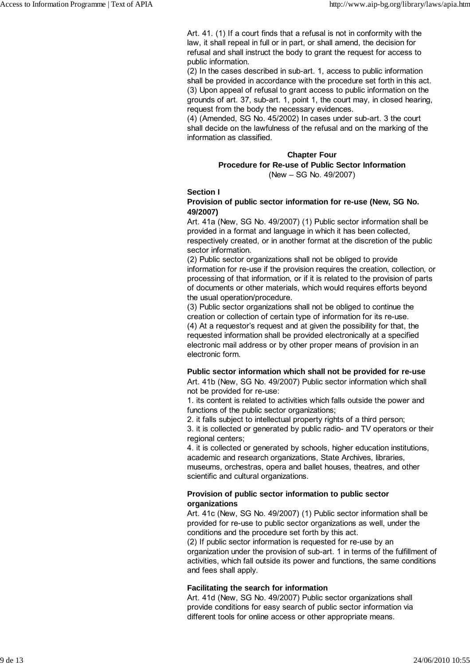Art. 41. (1) If a court finds that a refusal is not in conformity with the law, it shall repeal in full or in part, or shall amend, the decision for refusal and shall instruct the body to grant the request for access to public information.

(2) In the cases described in sub-art. 1, access to public information shall be provided in accordance with the procedure set forth in this act. (3) Upon appeal of refusal to grant access to public information on the grounds of art. 37, sub-art. 1, point 1, the court may, in closed hearing, request from the body the necessary evidences.

(4) (Amended, SG No. 45/2002) In cases under sub-art. 3 the court shall decide on the lawfulness of the refusal and on the marking of the information as classified.

## **Chapter Four**

**Procedure for Re-use of Public Sector Information** (New – SG No. 49/2007)

#### **Section I**

## **Provision of public sector information for re-use (New, SG No. 49/2007)**

Art. 41a (New, SG No. 49/2007) (1) Public sector information shall be provided in a format and language in which it has been collected, respectively created, or in another format at the discretion of the public sector information.

(2) Public sector organizations shall not be obliged to provide information for re-use if the provision requires the creation, collection, or processing of that information, or if it is related to the provision of parts of documents or other materials, which would requires efforts beyond the usual operation/procedure.

(3) Public sector organizations shall not be obliged to continue the creation or collection of certain type of information for its re-use. (4) At a requestor's request and at given the possibility for that, the requested information shall be provided electronically at a specified electronic mail address or by other proper means of provision in an electronic form.

## **Public sector information which shall not be provided for re-use**

Art. 41b (New, SG No. 49/2007) Public sector information which shall not be provided for re-use:

1. its content is related to activities which falls outside the power and functions of the public sector organizations;

2. it falls subject to intellectual property rights of a third person;

3. it is collected or generated by public radio- and TV operators or their regional centers;

4. it is collected or generated by schools, higher education institutions, academic and research organizations, State Archives, libraries, museums, orchestras, opera and ballet houses, theatres, and other scientific and cultural organizations.

## **Provision of public sector information to public sector organizations**

Art. 41c (New, SG No. 49/2007) (1) Public sector information shall be provided for re-use to public sector organizations as well, under the conditions and the procedure set forth by this act.

(2) If public sector information is requested for re-use by an organization under the provision of sub-art. 1 in terms of the fulfillment of activities, which fall outside its power and functions, the same conditions and fees shall apply.

## **Facilitating the search for information**

Art. 41d (New, SG No. 49/2007) Public sector organizations shall provide conditions for easy search of public sector information via different tools for online access or other appropriate means.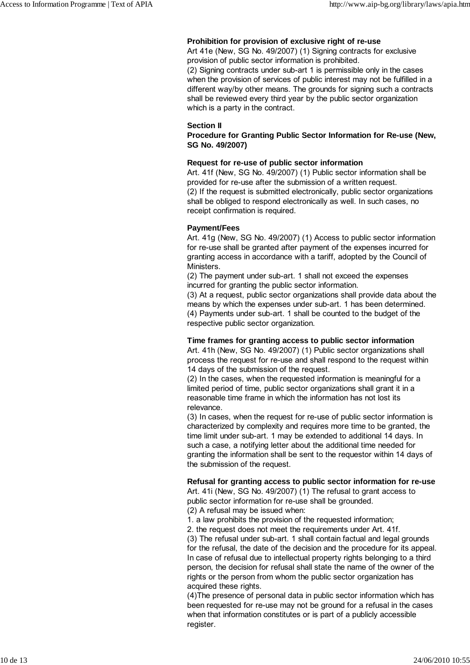## **Prohibition for provision of exclusive right of re-use**

Art 41e (New, SG No. 49/2007) (1) Signing contracts for exclusive provision of public sector information is prohibited. (2) Signing contracts under sub-art 1 is permissible only in the cases when the provision of services of public interest may not be fulfilled in a different way/by other means. The grounds for signing such a contracts shall be reviewed every third year by the public sector organization which is a party in the contract.

#### **Section II**

**Procedure for Granting Public Sector Information for Re-use (New, SG No. 49/2007)**

#### **Request for re-use of public sector information**

Art. 41f (New, SG No. 49/2007) (1) Public sector information shall be provided for re-use after the submission of a written request. (2) If the request is submitted electronically, public sector organizations shall be obliged to respond electronically as well. In such cases, no receipt confirmation is required.

#### **Payment/Fees**

Art. 41g (New, SG No. 49/2007) (1) Access to public sector information for re-use shall be granted after payment of the expenses incurred for granting access in accordance with a tariff, adopted by the Council of Ministers.

(2) The payment under sub-art. 1 shall not exceed the expenses incurred for granting the public sector information.

(3) At a request, public sector organizations shall provide data about the means by which the expenses under sub-art. 1 has been determined. (4) Payments under sub-art. 1 shall be counted to the budget of the respective public sector organization.

## **Time frames for granting access to public sector information**

Art. 41h (New, SG No. 49/2007) (1) Public sector organizations shall process the request for re-use and shall respond to the request within 14 days of the submission of the request.

(2) In the cases, when the requested information is meaningful for a limited period of time, public sector organizations shall grant it in a reasonable time frame in which the information has not lost its relevance.

(3) In cases, when the request for re-use of public sector information is characterized by complexity and requires more time to be granted, the time limit under sub-art. 1 may be extended to additional 14 days. In such a case, a notifying letter about the additional time needed for granting the information shall be sent to the requestor within 14 days of the submission of the request.

## **Refusal for granting access to public sector information for re-use**

Art. 41i (New, SG No. 49/2007) (1) The refusal to grant access to public sector information for re-use shall be grounded.

(2) A refusal may be issued when:

1. a law prohibits the provision of the requested information;

2. the request does not meet the requirements under Art. 41f.

(3) The refusal under sub-art. 1 shall contain factual and legal grounds for the refusal, the date of the decision and the procedure for its appeal. In case of refusal due to intellectual property rights belonging to a third person, the decision for refusal shall state the name of the owner of the rights or the person from whom the public sector organization has acquired these rights.

(4)The presence of personal data in public sector information which has been requested for re-use may not be ground for a refusal in the cases when that information constitutes or is part of a publicly accessible register.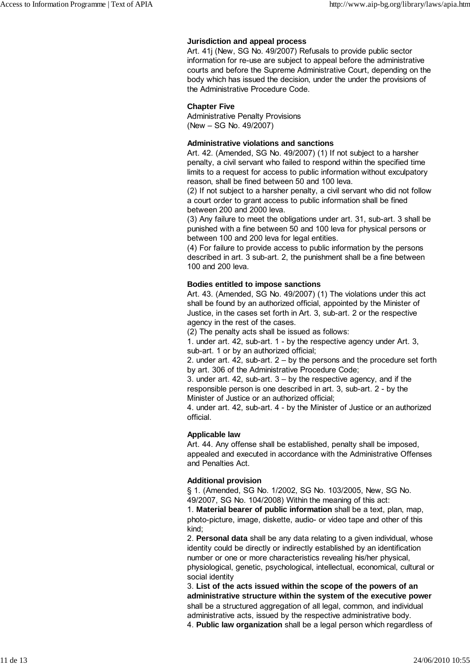#### **Jurisdiction and appeal process**

Art. 41j (New, SG No. 49/2007) Refusals to provide public sector information for re-use are subject to appeal before the administrative courts and before the Supreme Administrative Court, depending on the body which has issued the decision, under the under the provisions of the Administrative Procedure Code.

#### **Chapter Five**

Administrative Penalty Provisions (New – SG No. 49/2007)

#### **Administrative violations and sanctions**

Art. 42. (Amended, SG No. 49/2007) (1) If not subject to a harsher penalty, a civil servant who failed to respond within the specified time limits to a request for access to public information without exculpatory reason, shall be fined between 50 and 100 leva.

(2) If not subject to a harsher penalty, a civil servant who did not follow a court order to grant access to public information shall be fined between 200 and 2000 leva.

(3) Any failure to meet the obligations under art. 31, sub-art. 3 shall be punished with a fine between 50 and 100 leva for physical persons or between 100 and 200 leva for legal entities.

(4) For failure to provide access to public information by the persons described in art. 3 sub-art. 2, the punishment shall be a fine between 100 and 200 leva.

#### **Bodies entitled to impose sanctions**

Art. 43. (Amended, SG No. 49/2007) (1) The violations under this act shall be found by an authorized official, appointed by the Minister of Justice, in the cases set forth in Art. 3, sub-art. 2 or the respective agency in the rest of the cases.

(2) The penalty acts shall be issued as follows:

1. under art. 42, sub-art. 1 - by the respective agency under Art. 3, sub-art. 1 or by an authorized official;

2. under art. 42, sub-art. 2 – by the persons and the procedure set forth by art. 306 of the Administrative Procedure Code;

3. under art. 42, sub-art. 3 – by the respective agency, and if the responsible person is one described in art. 3, sub-art. 2 - by the Minister of Justice or an authorized official;

4. under art. 42, sub-art. 4 - by the Minister of Justice or an authorized official.

## **Applicable law**

Art. 44. Any offense shall be established, penalty shall be imposed, appealed and executed in accordance with the Administrative Offenses and Penalties Act.

#### **Additional provision**

§ 1. (Amended, SG No. 1/2002, SG No. 103/2005, New, SG No. 49/2007, SG No. 104/2008) Within the meaning of this act:

1. **Material bearer of public information** shall be a text, plan, map, photo-picture, image, diskette, audio- or video tape and other of this kind;

2. **Personal data** shall be any data relating to a given individual, whose identity could be directly or indirectly established by an identification number or one or more characteristics revealing his/her physical, physiological, genetic, psychological, intellectual, economical, cultural or social identity

3. **List of the acts issued within the scope of the powers of an administrative structure within the system of the executive power** shall be a structured aggregation of all legal, common, and individual administrative acts, issued by the respective administrative body.

4. **Public law organization** shall be a legal person which regardless of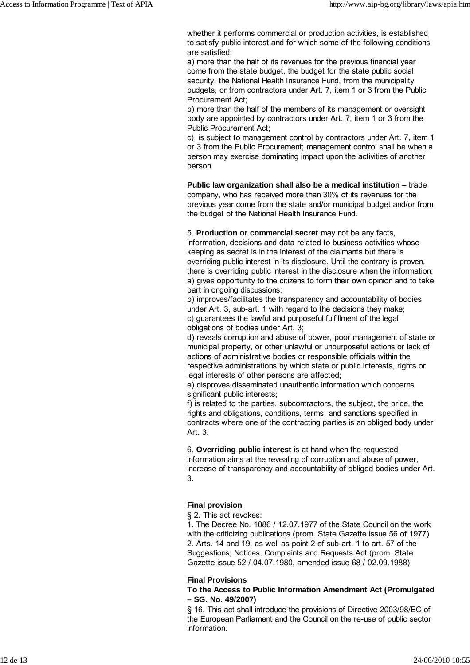whether it performs commercial or production activities, is established to satisfy public interest and for which some of the following conditions are satisfied:

a) more than the half of its revenues for the previous financial year come from the state budget, the budget for the state public social security, the National Health Insurance Fund, from the municipality budgets, or from contractors under Art. 7, item 1 or 3 from the Public Procurement Act;

b) more than the half of the members of its management or oversight body are appointed by contractors under Art. 7, item 1 or 3 from the Public Procurement Act;

c) is subject to management control by contractors under Art. 7, item 1 or 3 from the Public Procurement; management control shall be when a person may exercise dominating impact upon the activities of another person.

**Public law organization shall also be a medical institution** – trade company, who has received more than 30% of its revenues for the previous year come from the state and/or municipal budget and/or from the budget of the National Health Insurance Fund.

#### 5. **Production or commercial secret** may not be any facts,

information, decisions and data related to business activities whose keeping as secret is in the interest of the claimants but there is overriding public interest in its disclosure. Until the contrary is proven, there is overriding public interest in the disclosure when the information: а) gives opportunity to the citizens to form their own opinion and to take part in ongoing discussions;

b) improves/facilitates the transparency and accountability of bodies under Art. 3, sub-art. 1 with regard to the decisions they make; c) guarantees the lawful and purposeful fulfillment of the legal obligations of bodies under Art. 3;

d) reveals corruption and abuse of power, poor management of state or municipal property, or other unlawful or unpurposeful actions or lack of actions of administrative bodies or responsible officials within the respective administrations by which state or public interests, rights or legal interests of other persons are affected;

e) disproves disseminated unauthentic information which concerns significant public interests;

f) is related to the parties, subcontractors, the subject, the price, the rights and obligations, conditions, terms, and sanctions specified in contracts where one of the contracting parties is an obliged body under Art. 3.

6. **Overriding public interest** is at hand when the requested information aims at the revealing of corruption and abuse of power, increase of transparency and accountability of obliged bodies under Art. 3.

#### **Final provision**

§ 2. This act revokes:

1. The Decree No. 1086 / 12.07.1977 of the State Council on the work with the criticizing publications (prom. State Gazette issue 56 of 1977) 2. Arts. 14 and 19, as well as point 2 of sub-art. 1 to art. 57 of the Suggestions, Notices, Complaints and Requests Act (prom. State Gazette issue 52 / 04.07.1980, amended issue 68 / 02.09.1988)

#### **Final Provisions**

#### **To the Access to Public Information Amendment Act (Promulgated – SG. No. 49/2007)**

§ 16. This act shall introduce the provisions of Directive 2003/98/EC of the European Parliament and the Council on the re-use of public sector information.